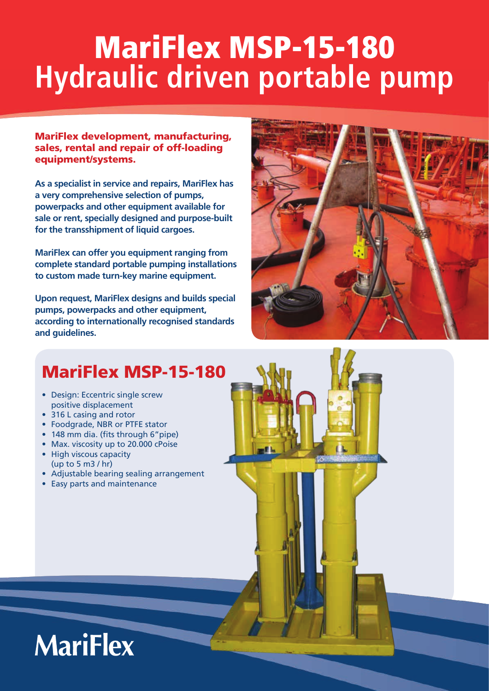# MariFlex MSP-15-180 **Hydraulic driven portable pump**

MariFlex development, manufacturing, sales, rental and repair of off-loading equipment/systems.

**As a specialist in service and repairs, MariFlex has a very comprehensive selection of pumps, powerpacks and other equipment available for sale or rent, specially designed and purpose-built for the transshipment of liquid cargoes.**

**MariFlex can offer you equipment ranging from complete standard portable pumping installations to custom made turn-key marine equipment.** 

**Upon request, MariFlex designs and builds special pumps, powerpacks and other equipment, according to internationally recognised standards and guidelines.**



### MariFlex MSP-15-180

- Design: Eccentric single screw positive displacement
- 316 L casing and rotor
- Foodgrade, NBR or PTFE stator
- 148 mm dia. (fits through 6"pipe)
- Max. viscosity up to 20.000 cPoise
- High viscous capacity (up to 5 m3 / hr)
- Adjustable bearing sealing arrangement
- Easy parts and maintenance